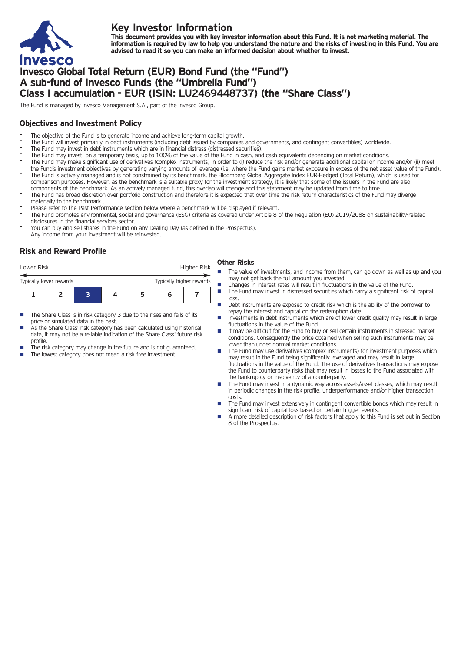

# **Key Investor Information**

This document provides you with key investor information about this Fund. It is not marketing material. The information is required by law to help you understand the nature and the risks of investing in this Fund. You are **advised to read it so you can make an informed decision about whether to invest.**

# **Invesco Global Total Return (EUR) Bond Fund (the "Fund") A sub-fund of Invesco Funds (the "Umbrella Fund") Class I accumulation - EUR (ISIN: LU2469448737) (the "Share Class")**

The Fund is managed by Invesco Management S.A., part of the Invesco Group.

## **Objectives and Investment Policy**

- The objective of the Fund is to generate income and achieve long-term capital growth.
- The Fund will invest primarily in debt instruments (including debt issued by companies and governments, and contingent convertibles) worldwide.
- The Fund may invest in debt instruments which are in financial distress (distressed securities).
- The Fund may invest, on a temporary basis, up to 100% of the value of the Fund in cash, and cash equivalents depending on market conditions.
- The Fund may make significant use of derivatives (complex instruments) in order to (i) reduce the risk and/or generate additional capital or income and/or (ii) meet the Fund's investment objectives by generating varying amounts of leverage (i.e. where the Fund gains market exposure in excess of the net asset value of the Fund).
- The Fund is actively managed and is not constrained by its benchmark, the Bloomberg Global Aggregate Index EUR-Hedged (Total Return), which is used for comparison purposes. However, as the benchmark is a suitable proxy for the investment strategy, it is likely that some of the issuers in the Fund are also components of the benchmark. As an actively managed fund, this overlap will change and this statement may be updated from time to time.
- The Fund has broad discretion over portfolio construction and therefore it is expected that over time the risk return characteristics of the Fund may diverge materially to the benchmark .
- Please refer to the Past Performance section below where a benchmark will be displayed if relevant.
- The Fund promotes environmental, social and governance (ESG) criteria as covered under Article 8 of the Regulation (EU) 2019/2088 on sustainability-related
- disclosures in the financial services sector. You can buy and sell shares in the Fund on any Dealing Day (as defined in the Prospectus).
- Any income from your investment will be reinvested.

## **Risk and Reward Profile**

| Lower Risk              |  |  |  |                          |  | Higher Risk |  |
|-------------------------|--|--|--|--------------------------|--|-------------|--|
| Typically lower rewards |  |  |  | Typically higher rewards |  |             |  |
|                         |  |  |  | 5                        |  |             |  |

- The Share Class is in risk category 3 due to the rises and falls of its price or simulated data in the past.
- As the Share Class' risk category has been calculated using historical data, it may not be a reliable indication of the Share Class' future risk profile.
- The risk category may change in the future and is not guaranteed.
- The lowest category does not mean a risk free investment.

### **Other Risks**

- The value of investments, and income from them, can go down as well as up and you may not get back the full amount you invested.
- Changes in interest rates will result in fluctuations in the value of the Fund.<br>■ The Fund may invest in distressed securities which carry a significant risk of
- n The Fund may invest in distressed securities which carry a significant risk of capital loss
- Debt instruments are exposed to credit risk which is the ability of the borrower to repay the interest and capital on the redemption date.
- n Investments in debt instruments which are of lower credit quality may result in large fluctuations in the value of the Fund.
- n It may be difficult for the Fund to buy or sell certain instruments in stressed market conditions. Consequently the price obtained when selling such instruments may be lower than under normal market conditions.
- The Fund may use derivatives (complex instruments) for investment purposes which may result in the Fund being significantly leveraged and may result in large fluctuations in the value of the Fund. The use of derivatives transactions may expose the Fund to counterparty risks that may result in losses to the Fund associated with the bankruptcy or insolvency of a counterparty.
- The Fund may invest in a dynamic way across assets/asset classes, which may result in periodic changes in the risk profile, underperformance and/or higher transaction costs.
- The Fund may invest extensively in contingent convertible bonds which may result in significant risk of capital loss based on certain trigger events.
- n A more detailed description of risk factors that apply to this Fund is set out in Section 8 of the Prospectus.